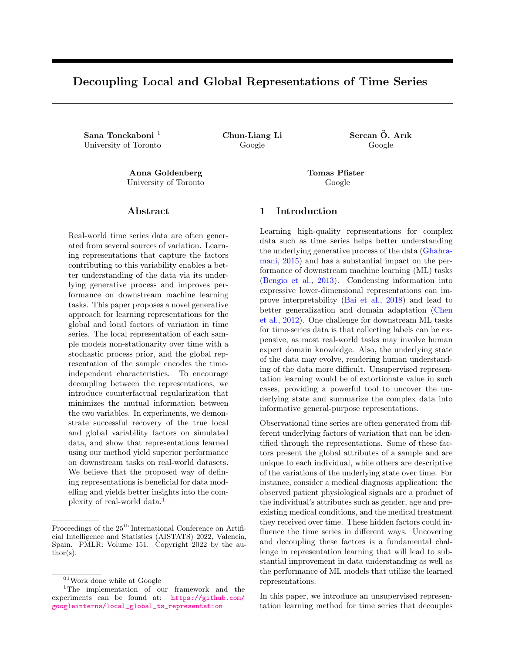# Decoupling Local and Global Representations of Time Series

Sana Tonekaboni  $^{1}$  Chun-Liang Li Sercan Ö. Arık University of Toronto Google Google Google

Anna Goldenberg Tomas Pfister University of Toronto Google

## Abstract

Real-world time series data are often generated from several sources of variation. Learning representations that capture the factors contributing to this variability enables a better understanding of the data via its underlying generative process and improves performance on downstream machine learning tasks. This paper proposes a novel generative approach for learning representations for the global and local factors of variation in time series. The local representation of each sample models non-stationarity over time with a stochastic process prior, and the global representation of the sample encodes the timeindependent characteristics. To encourage decoupling between the representations, we introduce counterfactual regularization that minimizes the mutual information between the two variables. In experiments, we demonstrate successful recovery of the true local and global variability factors on simulated data, and show that representations learned using our method yield superior performance on downstream tasks on real-world datasets. We believe that the proposed way of defining representations is beneficial for data modelling and yields better insights into the complexity of real-world data.<sup>1</sup>

## 1 Introduction

Learning high-quality representations for complex data such as time series helps better understanding the underlying generative process of the data (Ghahramani, 2015) and has a substantial impact on the performance of downstream machine learning (ML) tasks (Bengio et al., 2013). Condensing information into expressive lower-dimensional representations can improve interpretability (Bai et al., 2018) and lead to better generalization and domain adaptation (Chen et al., 2012). One challenge for downstream ML tasks for time-series data is that collecting labels can be expensive, as most real-world tasks may involve human expert domain knowledge. Also, the underlying state of the data may evolve, rendering human understanding of the data more difficult. Unsupervised representation learning would be of extortionate value in such cases, providing a powerful tool to uncover the underlying state and summarize the complex data into informative general-purpose representations.

Observational time series are often generated from different underlying factors of variation that can be identified through the representations. Some of these factors present the global attributes of a sample and are unique to each individual, while others are descriptive of the variations of the underlying state over time. For instance, consider a medical diagnosis application: the observed patient physiological signals are a product of the individual's attributes such as gender, age and preexisting medical conditions, and the medical treatment they received over time. These hidden factors could influence the time series in different ways. Uncovering and decoupling these factors is a fundamental challenge in representation learning that will lead to substantial improvement in data understanding as well as the performance of ML models that utilize the learned representations.

In this paper, we introduce an unsupervised representation learning method for time series that decouples

Proceedings of the  $25<sup>th</sup>$  International Conference on Artificial Intelligence and Statistics (AISTATS) 2022, Valencia, Spain. PMLR: Volume 151. Copyright 2022 by the author(s).

 $\rm ^{01}Work$  done while at Google

<sup>1</sup>The implementation of our framework and the experiments can be found at: [https://github.com/](https://github.com/googleinterns/local_global_ts_representation) [googleinterns/local\\_global\\_ts\\_representation](https://github.com/googleinterns/local_global_ts_representation)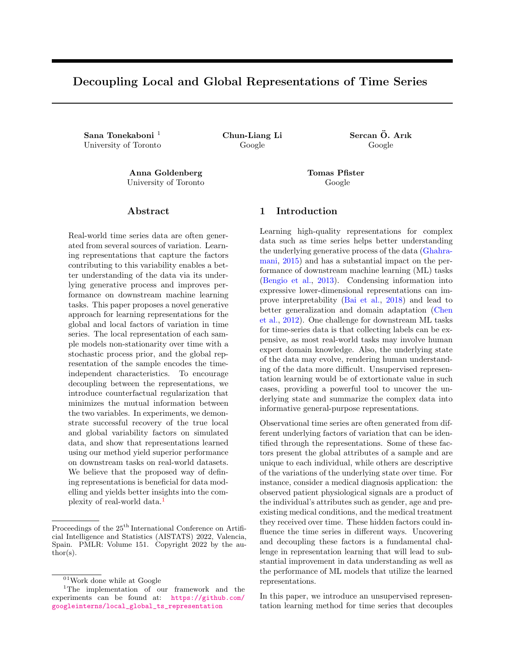<span id="page-1-0"></span>Figure 1: Overview of our method for learning global and local representations. The proposed method learns the distribution of the local representations of windows of samples over time using the local encodenc<sub>l</sub>. The global encoderEnc<sub>g</sub> models the posterior of the global representation, and the decoderDec generates the time series using samples from the posterior of the local and global representations.

the global and local properties of the signal into separate representations. Our method is based on generative modelling and assumes that each time series sample is generated from two underlying factors: a global and local representation. The global representations are unique to each sample and represent static timeindependent characteristics. The local representations encode the dynamic underlying state of windows of the time series sample as they evolve over time, taking into account the non-stationarity of the samples. We use variational approximation to model the posterior of the two sets of representations and model the temporal dynamics using a prior sampled from a Gaussian Process (GP). To ensure that the two sets of representations are decoupled and they model distinct data characteristics, we introduce a counterfactual regularization with the goal of mutual information min-imization to disentangle the representations. Fig. [1](#page-1-0) overviews our framework. Decoupling local and global representations using our proposed method provides the following important bene ts:

- 1. Exploiting global patterns in the data and coupling them with local variations serves as an inductive bias and improves the downstream tasks from time series forecasting performance to classication accuracy.
- 2. By disentangling the factors of variation, we can represent the underlying information in a more e cient way by encoding the necessary information for target tasks with more compact representations.
- 3. Knowing the various factors of variation in generation of a time series helps identify and disentan-

gle the underlying explanatory factors and results in more interpretable representations.

- 4. Having this information also allows one or the other representations to be used 
exibly for downstream tasks depending on which property is appropriate for a speci c use case. For instance, global representations can help usidentify subgroups with similar properties.
- 5. Using our approach, we cangenerate counterfactual instances of data with controlled factors of variation, utilizing the global and local representations. This enables generating dierent manifestations of events like disease progression in individuals with di erent characteristics.

## 2 Related Work

The performance of many ML models relies heavily on the quality of the data representations (Bengio and LeCun, 2007). This applies to all data types, but it is vital for complex ones such as time series that can be high-dimensional, high-frequency and non-stationary (Yang and Wu, 2006; Langkvist et al., 2014). Due to the diculties in labelling time-series data, unsupervised approaches are often preferred in such settings. They include di erent categories of methods that are based on reconstruction (Yuan et al., 2019; Fortuin et al., 2018, 2020; Chorowski et al., 2019), clustering (Ma et al., 2019; Lei et al., 2019), contrastive objectives (Oord et al., 2018; Franceschi et al., 2019; Hyvarinen et al., 2019; Tonekaboni et al., 2020; Hyvarinen and Morioka, 2016), and others.

While all the methods above have been shown to successfully encode the informative parts of the signal in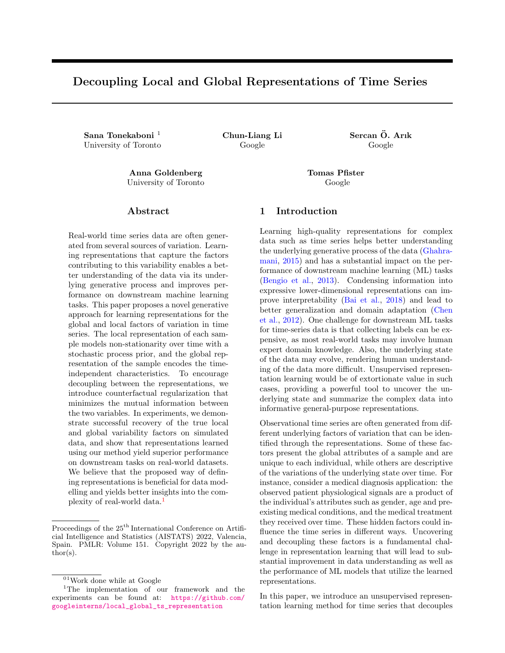a low dimensional representation, improving the interpretability of the representations is still an active area of research. An e ort in this direction is disentangling the dimensions of the encoding, which enables representing di erent factors of variation in independent dimensions. Earlier approaches learn disentangled representations using supervised data (Yang et al., 2015; Tenenbaum and Freeman, 2000), while more recent methods provide unsupervised solutions to tackle this problem using adversarial training (Chen et al., 2016; Kim and Mnih, 2018; Kumar et al., 2018) or regularization of the data distribution (Dezfouli et al., 2019). However, associating these factors with interpretable notions in the data domain remains challenging. A dierent line of work focuses on decoupling global and local representations of samples into separate representations (or dimensions of representation). This idea has been explored for visual data to separate the factors of variation associated with the labels from other sources of variability. Mathieu et al. (2016) use a conditional generative model with adversarial regularization, while Ma et al. (2020) learn decoupled representations of global and local information of images relying on empirical characteristics of VAE and 
ow models.

For time series, VAE-based methods have been used to disentangle dynamic and static factors of representations for video and speech data. FHVAE (Hsu et al., 2017) uses a hierarchical VAE model to learnsequencedependent variables(corresponding to the speaker factor) and sequence-independent variable corresponding to the linguistic factors) in modeling speech, but it does not explicitly encourage disentanglement. DSVAE (Yingzhen and Mandt, 2018) formalizes the idea of disentangled representation by explicitly factorizing the posterior to model the static and dynamic factors. Other methods have been proposed to augment DSVAE by explicitly enforcing disentanglement in their objective function. S3VAE (Zhu et al., 2020) introduces additional loss terms that encourage the invariance of the learnt representations by permuting the frame and leveraging external supervision for the motion labels. An additional regularization is imposed by minimizing the mutual information between the two sets of representations. Similar regularizations are used in C-DSVAE (Bai et al., 2021) using contrastive estimation of mutual information. Note that for all the above methods, the focus is on the generated samples and not the quality nor interpretability of the representations. Therefore, the dynamic local representations are not designed to summarize the information of the time series samples over time. Other eorts for disentangling global and local representations are designed to improve speci c downstream modeling tasks. For instance, Sen et al. (2019) leverage both local and global patterns to improve forecasting based on matrix

factorization techniques. Similar ideas have also been introduced to improve forecasting performance (Wang et al., 2019; Nguyen and Quanz, 2021). Schulam and Saria (2015) learn population and sub-population parameters to model personalized disease trajectories.

# 3 Method

In this section, we present the notations used throughout this paper, followed by the problem de nition and description of the method.

#### 3.1 Notation

Let X<sup>(i)</sup> 2 R<sup>d T</sup> be a multivariate time series sample  $(i 2 N)$ , with d input features and  $T$  measurements over time. Each time series sample is generated from two latent variables  $z_g$  and  $Z_1$ . The global representation  $z_g^{(i)}$  2 R<sup>d<sub>g</sub></sup> is a vector of sized<sub>g</sub> that represents the global properties of samplei. The local representation of samplei, Z<sup>(i)</sup>  $I_1^{(i)} = [z_0^{(i)}; z_1^{(i)}; \dots; z_t^{(i)}]$ , is composed of a set of vector representations of non-overlapping windows  $\mathbb{X}\left( \begin{smallmatrix} (i) \\ 0 \end{smallmatrix} ; \mathsf{X}\left( \begin{smallmatrix} i \ i \end{smallmatrix} \right) ; \ldots ; \mathsf{X}\left( \begin{smallmatrix} (i) \\ t \end{smallmatrix} \right]$  of time series X  $\left( \begin{smallmatrix} (i) \end{smallmatrix} \right)$ . Each  $z_t^{(i)}$  2 R<sup>d<sub>i</sub> is the representation for a window of time</sup> series $X_t^{(i)}$  2 R<sup>d</sup> of length that encodes information for all features within the window. The windows split the sample into d $\mathbb{I}$  e consecutive parts as shown in Fig. 1. The size of the global representations and the local representation is determined byd $_{\rm g}$  and d $_{\rm l}$  , respectively. In order to handle missing measurements, each sample has a mask channeM  $^{(i)}$  2 R<sup>d T</sup> to indicate which data points are measured and which ones are missing. Irregularly-sampled time series can also be converted into regularly-sampled signals with the additional mask channel to indicate the measurements. For simplicity, we drop the sample index i in the rest of the paper.

Our probabilistic data generation mechanism assumption is shown in Fig. 2. We model the conditional likelihood distribution of the data as follows: X p(X jZ<sub>1</sub>; z<sub>g</sub>). X<sub>t</sub> in Fig. 2 represents a window of time series, andz<sub>t</sub> is the local representation for that window. The local representation of the windows can change over time as the underlying state of the time series changes. The dependencies of these local representations are modeled using a prior sampled from  $GP(m(t); k(t; t^0))$ . The global representation  $z_g$  is the same for all windows within a sample, and its prior is modelled as a Normal Gaussian distribution.

#### 3.2 Modeling Distributions

As parts of the learning algorithm, we use variational approximations to model the following three distribu-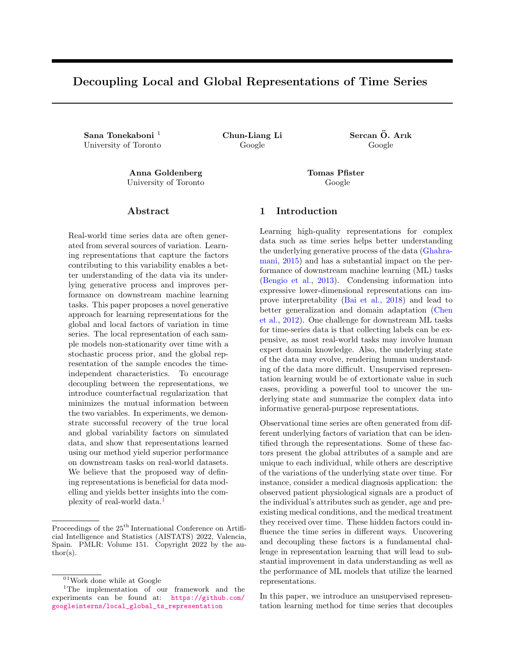Figure 2: Graphical model of the generative process. Each window of time seriesX $_t$  is generated from the global representation of the sample $\mathfrak{g}_q$  and the local representation of the window  $z_t$ . The sample X is composed of the series of consecutive windows $_{t}$ , and the pset of all local representation $Z_1 = [z_0; z_1; \ldots; z_t]$ are sampled from a Gaussian Process prior.

tions:

- 1. The conditional likelihood distribution of the time series sampl $\varphi$ (X jZ $_1$ ; z $_9$ ) conditioned on the local and global representations. We approximate this using a Decoder model (Dec( $Z_1$ ;  $z_g$ )).
- 2. The posterior over the local representations  $q(Z_1;X)$ . We approximate this using the Local Encoder (Enc<sub>l</sub>(X )). This encoder slices the time series into consecutive windows and approximates the joint distribution of all the local representations over time.
- 3. The posterior distribution of the global representations  $q(z_q)X$ ). The Global Encoder  $(Enc<sub>q</sub>(X))$  approximates the parameters of this conditional distribution. The encoder can input the entire time series, or any part of it, for estimating the global representations. This is particularly useful in the presence of missing data and allows using the part of the signal with fewer missing observations. To ensure robustness and to encourage the global representation to be constant throughout a sample, the encoder is trained on random sub-windows of the sample.

The local representation should model the temporal behaviour and the underlying time-varying states. The local encoder learns the representation of consecutive windows independently; however, we cannot assume that these representations are i:d. Casale et al. (2018) show that for video data, by accounting for temporal covariance between the representations, we can learn more general and informative encodings. Similar to ideas presented in Casale et al. (2018) and Fortuin

et al. (2020), we impose the temporal dependencies between the local representations using a prior sampled from a Gaussian Process (GP). GP is a non-parametric Bayesian method well-suited for modelling temporal data that helps with robust modelling even in the presence of uncertainty (Roberts et al., 2013). We model each dimension of the local representations (indexed by  $i \, 2 \, d_i$ ) independently over time, using unique GPs with di erent kernel functions. The intuition behind this choice is to decompose the latent representations into dimensions with unique temporal behaviours that are characterized by the covariance structure. E.g., a dimension with a periodic kernel can model the seasonality of the underlying state of the signal. This is an important property since the local representations should model the non-stationarity in the samples. The local encoderEnc<sub>l</sub>(X) approximates the posterior of each dimension using a multivariate Gaussian distribution as shown in Eq. 1.

$$
q(Z_{0:T;j} jX) = N(Z_{0:T;j}; j; j)
$$
 (1)

Following Fortuin et al. (2020), the precision matrix of the covariance  $\frac{1}{1}$ , is parameterized as a product of bi-diagonal matrices (Eq. 2), where B<sub>j</sub> is an upper triangular band matrix that guarantees positive de nitiveness and symmetry in  $\int_1^1$ . With this sparse estimation of the precision matrix, sampling from the posterior becomes more ecient (Mallik, 2001) and the estimated covariance can still be dense and model long-range dependencies in time.

$$
i_{j}^{1} = B_{j}^{T} B_{j}; f B_{j} g_{tt^{0}} = \begin{cases} i_{tt^{0}} & \text{if } t^{0} 2 f t; t + 1 g; \\ 0; & \text{otherwise.} \end{cases}
$$
 (2)

With the parametric approximations for the distributions, we can use theELBO objective in Eq. 3 to train the models.

<sup>L</sup> <sup>=</sup> EZ <sup>l</sup> ; z<sup>g</sup> [log(p(X jZ <sup>l</sup> ; zg))] + [DKL (q(Z <sup>l</sup> jX )kp(Z <sup>l</sup>)) + DKL (q(zgjX )kp(zg))] (3)

The log-likelihood term ensures the generated signals are realistic, and the  $D_{KL}$  divergence terms minimize the distance between the estimated distributions and their priors. As mentioned, the prior over the global representations  $p(z_0)$  is assumed to be a standard Gaussian  $(N(0, 1))$  and the prior over the local representations  $p(Z_1)$  is a zero-mean GP prior de ned over time  $(GP(0; k_j(t; t^0)))$ . We assume di erent kernel functions and parameters (i.e. the length scale) for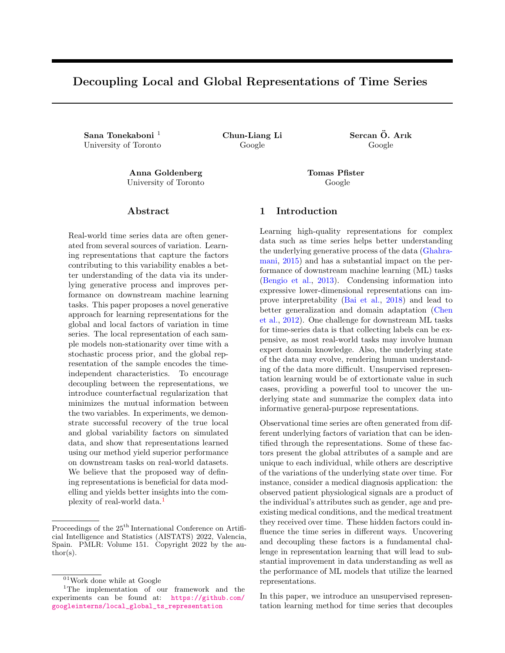dierent dimensions of the latent representations to model various dynamics at multiple time scales. Our framework is compatible with many kernel structures, including but not limited to RBF, Cauchy, and periodic. A list of kernel functions used in our experiments is presented in the Appendix 6.2. Note, the negative log-likelihood is only estimated for the observed measurements to account for the missing values.

Eq. 3, however, does not guarantee all the properties that we expect from the representations. Nothing would prevent all information to 
ow through the local  $rep$ resentation $Z_{\perp}$ , which has a higher encoding capacity. This means that the model can easily converge to a solution where all information about the global behaviour of the signal is encoded in the local representations. As a result,  $z_q$  would become random noise ignored by the decoder and the local representation would no longer represent underlying states, independent of sample variabilities. To address this, we introduce the counterfactual regularization term of the loss, described in the next section.

#### 3.3 Counterfactual Regularization

The issue of information 
owing through one set of representations can be prevented if we have labels available for the global sources of variations (Reed et al., 2015; Klys et al., 2018). However, in practice, they are rarely available, and the underlying factors are often unknown. We propose a counterfactual regularization, encouraging  $z<sub>a</sub>$  to be informative and the global behaviours to be only encoded in the global representation. This means that variation in the local representation should not change the global identity of the time series and vice versa. For each sampl& <sup>(i)</sup> during training, we generate a counterfactual sample X with the local representation of X<sup>(i)</sup> (Z<sub>1</sub> = Z<sub>1</sub><sup>(i)</sup> l ), and a random global representations sampled from the prior  $(z_0 \ p(z_0))$ , as explained in Fig. 3.

Ideally, this generated counterfactual sample X would have no signs of the global properties o $X^{(i)}$ . If the two representations are independent, $Z_1^{(i)}$  $\int_{1}^{(1)}$  should not contain any information about  $z_{g}^{(i)}$ ; therefore,  $z_{g}^{(i)}$ should have low likelihood under the estimated posterior distribution of the global representations, conditioned on the counterfactual sampleq( $z<sub>0</sub>$ jX ). Using the global encoder, we estimate this posterior distribution ( $Enc_{g}(X)$ ) and encourage the likelihood ratio for  $z_g$  to  $z_g$  to be low. Our proposed regularization term is as follows:

$$
L_{reg} = E_{z_g; Z_1} \frac{q(z_g; X)}{q(z_g; X)};
$$
 (4)

Figure 3: The counterfactual sampleX generation process for the regularization term.

As a result, the nal objective becomes:

<sup>L</sup> <sup>=</sup> EZ <sup>l</sup> ; z<sup>g</sup> [log(p(X jZ <sup>l</sup> ; zg))] + [DKL (q(Z <sup>l</sup> jX )kp(Z <sup>l</sup>)) + DKL (q(zgjX )kN (0; 1)))] + Lreg : (5)

Counterfactual regularization and disentanglement. An essential role of counterfactual regularization is encouraging independence implicitly. One way to achieve independence between global and local variables is through minimizing the mutual information  $I(z_{q}; Z_{\perp})$  between the two variables. Following Moyer et al. (2018), the mutual information between the two sets of representations can be decomposed as:

$$
I(z_g; Z_1) = I(z_g; X) - I(z_g; X |Z_1)
$$
  
= I(z\_g; X) + H(z\_g; X) - H(z\_g; Z\_1)  
= I(z\_g; X) + H(z\_g; X) + E\_{z\_g; Z\_1} log p(z\_g; Z\_1):  
(6)

The rst two terms measure the information captured by the global representation  $z<sub>a</sub>$ , which is also considered in the variational autoencoder objective (Eq. 3). Minimizing  $I(z_q; Z_1)$  can therefore be done by minimizing  $\mathsf{E}_{\mathsf{z}_\mathsf{g}; \mathsf{Z}_\mathsf{I}}$  logp( $\mathsf{z}_\mathsf{g}$ jZ<sub>1</sub>). As we do not have access to the distribution  $p(z_{q} | Z_{1})$ , existing works (Cheng et al., 2020) use an additional network to construct the variational approximation. Instead of introducing an additional network to approximate  $p(z_0|Z_1)$ , which increases training complexity and computation time, we reuse the global encoder for counterfactual regularization for this approximation as follows. Since  $z_g$  is sampled from the prior distribution independent of Z<sub>1</sub>, then q(zgjZ <sup>l</sup>) = q(zgjZ <sup>l</sup> ; z<sup>g</sup> ) ' q(zgjX ) if the decoder Z<sub>1</sub>; z<sub>g</sub>! X preserves the information. This implies that minimizing (4) implicitly minimizes  $I(z_0; Z_1)$  and encourages decoupling between the representations.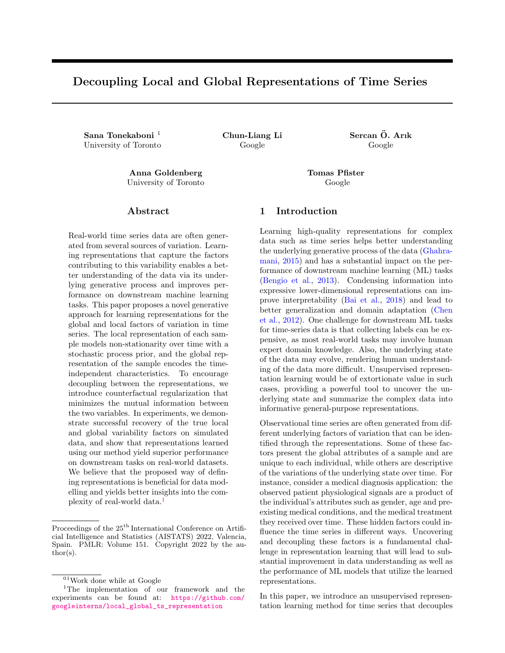# 4 Experiments

Evaluating unsupervised representation learning is challenging due to the lack of well-dened labels for the underlying representations and factors of variation. However, the representations' generalizability and informativeness can be assessed on di erent downstream tasks. We present a number of experiments to evaluate the performance of our method in comparison to the following benchmarks: (i) Variational Auto Encoder (VAE) as a standard unsupervised representation learning framework, (ii) GP-VAE (Fortuin et al., 2020), (iii) C-DSVAE (Bai et al., 2021), which separates dynamic and static representations<sup>2</sup>, and (iv) a model trained supervised for the task.

All baselines are trained to learn representations for consecutive windows in the time series sample. For consistency and to allow comparison of performance results, the encoder and decoder architectures of different baselines are kept the same. One of the benets of decoupling local and global representations is that we can condense the representation into fewer dimensions, especially since the global representation is unique throughout the sample. We have chosen different encoding sizes for our baselines to re
ect this advantage better. The performance of all models is compared across multiple evaluation tests using two dierent time series datatset:

- 1. Physionet ICU Dataset (Goldberger et al., 2000): A medical time-series dataset of records from 12,000 adult ICU stays in the Intensive Care Unit. The temporal measurements consist of physiological signals and dierent lab measurements. For each recording, there are general descriptors of the patient (age, type of ICU admission, etc. ) as well as labels indicating in-hospital mortality. We use such descriptors as approximates for the global properties of the signals.
- 2. UCI Beijing Multi-site Air Quality Dataset (Zhang et al., 2017): This dataset includes hourly measurements of multiple air pollutants from 12 nationallycontrolled monitoring sites, collected over four years. The measurements are also matched with meteorological data from the nearest weather station. We partition the data such that each time series sample is the pollutant reading for parts of a particular month of the year.

To fully demonstrate the capability of our method, we focus on time series data with non-stationarity. Unlike most classication tasks where the time series is windowed to represent samples of di erent classes, here we are interested in long time series where the behaviour of the signals might change over time. More information on the experiment datasets, cohort selection and processing, are provided in the Appendix 6.1.

## 4.1 Improving Downstream Prediction Tasks

General representations should capture the important information in the data and can therefore be leveraged for downstream prediction tasks by training simple predictors on them. This approach is commonly used for evaluating the quality of representations (Oord et al., 2018; Franceschi et al., 2019; Fortuin et al., 2020). For the Physionet dataset, we consider the mortality prediction task. As a supervised baseline, we train an end-to-end model that directly uses the time series measurements to predict the risk of in-hospital mortality. For all other baselines, a simple Recurrent Neural Network (RNN) is trained to predict the risk using the representations over time. For the Air Quality dataset, the de ned task is to estimate the average daily rain. Similarly, a simple RNN model is used for training this predictor using the representations. For our approach and C-DSVAE where the global and local representations are encoded separately, the global representations are concatenated with the output of the RNN model to estimate the downstream task. Appendix 6.2 provides more details on the architecture of the models used in our experiments.

Table 1 shows the performance of all models on the prediction tasks. For better comparison, we have baselines with di erent representation dimensionality. The results show that our method outperforms others for the ICU mortality prediction task, with even fewer representation dimensions, and comes second to C-DSVAE for daily rain estimation. For Physionet, we even perform closely to a fully-supervised model. GP-VAE performs better than the regular VAE, as it properly models the correlation between representations of samples over time. As we increase the dimensionality of the representations, this model improves albeit with higher complexity and less interpretability in the encodings. By decoupling the representations, our method achieves superior performance with smaller dimensionality. Lastly, we demonstrate that the counterfactual regularization substantially improves the performance of our method (as shown by the performance results of our method with no regularization).

 $2$ The implementation of this method for time series data doesn't have the augmentations proposed for video setting because such transformations (cropping, color distortion, etc.) are not de ned for time series.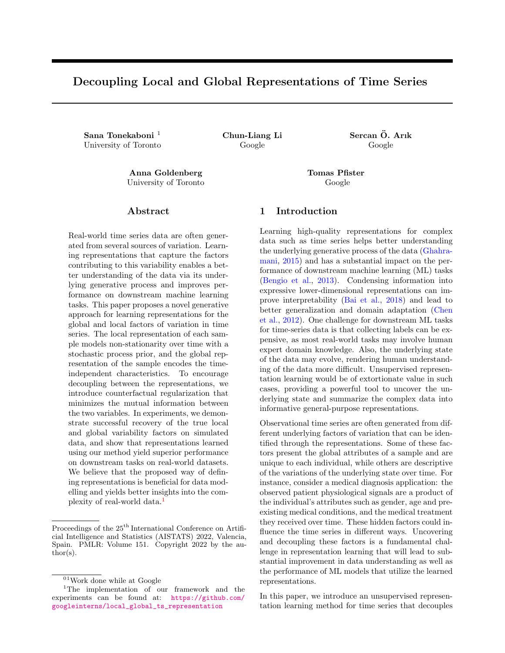Tonekaboni, Li, Ar k , Goldenberg, P ster

|                      |                   |            | <b>ICU Mortality Prediction</b> |       |              | Average Daily Rain Estimation |                     |       |  |
|----------------------|-------------------|------------|---------------------------------|-------|--------------|-------------------------------|---------------------|-------|--|
| Model                | <b>Dimensions</b> |            | <b>AUPRC</b>                    |       | <b>AUROC</b> |                               | Mean Absolute Error |       |  |
| Our method           | 8                 | steps $+8$ | 0.365                           | 0.092 | 0.752        | 0.011                         | 1.824               | 0.001 |  |
| Our method - no reg. | 8                 | steps $+8$ | 0.238                           | 0.026 | 0.672        | 0.010                         | 1.825               | 0.001 |  |
| GP-VAE               | 8                 | steps      | 0.266                           | 0.034 | 0.662        | 0.036                         | 1.824               | 0.001 |  |
| GP-VAE               | 16                | steps      | 0.282                           | 0.086 | 0.699        | 0.018                         | 1.826               | 0.001 |  |
| VAE.                 | 8                 | steps      | 0.157                           | 0.053 | 0.564        | 0.044                         | 1.831               | 0.005 |  |
| <b>VAE</b>           | 16                | steps      | 0.118                           | 0.001 | 0.491        | 0.037                         | 1.840               | 0.012 |  |
| C-DSVAE              | 8                 | steps $+8$ | 0.158                           | 0.005 | 0.565        | 0.007                         | 1.806               | 0.012 |  |
| Supervised           | NA                |            | 0.446                           | 0.036 | 0.802        | 0.043                         | 0.079               | 0.001 |  |

Table 1: Performance of dierent representation learning methods on downstream predictive tasks.

|                      |            | Air Quality |      | Physionet |      |
|----------------------|------------|-------------|------|-----------|------|
| Model                | Dimensions | Accuracy    |      | Accuracy  |      |
| Our method           | 8          | 57.93       | 3.53 | 46.98     | 3.04 |
| Our method - no reg. | 8          | 38.35       | 2.67 | 32.54     | 0.00 |
| GP-VAE               | 8          | 36.73       | 1.40 | 42.47     | 2.02 |
| GP-VAE               | 16         | 33.57       | 1.50 | 44.67     | 0.50 |
| VAE.                 | 8          | 27.17       | 0.03 | 34.71     | 0.23 |
| VAE.                 | 16         | 31.20       | 0.33 | 35.92     | 0.38 |
| C-DSVAE              | 8          | 47.07       | 1.20 | 32.54     | 0.00 |
| Supervised           | ΝA         | 62.43       | 0.54 | 62.00     | 2.10 |

Table 2: Performance of di erent representation learning methods on identifying similar subgroups of data.

## 4.2 Subgroup Identi cation

In many cases, we are interested in identifying or clustering samples with similar global properties invariant to other factors that can in
uence the time series trajectory. The global representations provide the information that allows us to identify such subgroups of the data. This is an important application, and as an example of the bene ts, earlier work shows that in many applications, performing cluster-speci c modelling or prediction can improve the overall performance of ML models (Giordano et al., 2019; Bouveyron and Jacques, 2011). This experiment evaluates how well our global representations identify clusters of similar samples. For the Physionet dataset, we choose the ICU unit type as a proxy label for identifying sub groups because patients that are admitted to these different units have some underlying similarities. For the Air Quality dataset, we are interested in identifying the month of the year that each recording belongs to.

We use a simple MLP classi er to predict the subgroup of each sample using the learned representations. Our method and C-DSVAE de ne global representations separately, and that is what we use for the training.

Figure 4: t-SNE visualization of the representations of the Air Quality dataset. Each data point is the global representation of a time series sample and the color indicates the month of year of that measurement.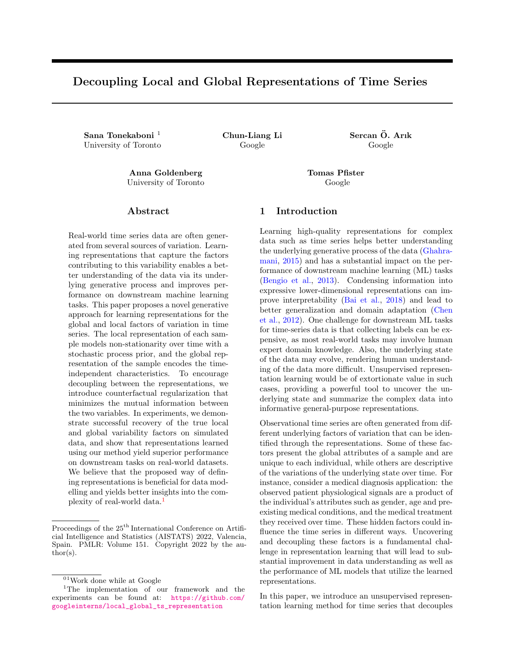Decoupling Local and Global Representations of Time Series

|                      |    |                   | Air Quality |       | Physionet  |       |             |       |       |       |
|----------------------|----|-------------------|-------------|-------|------------|-------|-------------|-------|-------|-------|
| Model                |    | <b>Dimensions</b> | <b>NLL</b>  |       | <b>MSE</b> |       | <b>NLL</b>  |       | MSE   |       |
| Our method           | 8  | steps+8           | 1.445       | 0.052 | 0.609      | 0.040 | 0.026 2.609 | 0.032 | 1.183 | 0.016 |
| Our method - no reg. | 8  | steps+8           | 3.866       | 0.344 | 0.906      |       | 3.250       | 0.145 | 1.323 | 0.048 |
| GP-VAE               | 8  | steps             | 1.908       | 0.114 | 0.743      | 0.048 | 2.626       | 0.063 | 1.197 | 0.031 |
| GP-VAE               | 16 | steps             | 3.080       | 0.281 | 0.941      | 0.065 | 2.833       | 0.069 | 1.295 | 0.035 |

Table 3: Performance of di erent representation learning methods used for time series forecasting.

For the other baselines, we randomly select the representation of one window for this task as the representations encode both the local and global properties of the sample. Table 2 summarizes the classi cation performance of all baselines. Our results support the claim that the global representations capture the global characteristics of each sample. We can therefore identify samples with similar characteristics better than other baselines by only using these representations regardless of the changes over time. Fig. 4 also shows the 2 dimensional projection of the global representations of the Air Quality dataset, learned using our method. We can observe the clear distinction between the global properties of measurements from the warmer months of the year and the ones around winter and fall. Even within these categories, the representations seem to cluster the months together.

## 4.3 More Accurate Forecasting

Forecasting high-dimensional time series is another important application in many domains, like retail and nance. Prior works observe that exploiting global patterns and coupling them with local calibration help prediction performance on many datasets (Sen et al., 2019). Our proposed method, designed in a similar vein for representation learning, can therefore be well-suited to improve forecasting performance. More importantly, since we model the local representations over time using a GP, the conditional distribution over the future local representations can be estimated by conditioning over the observed historical representations (Williams and Rasmussen, 2006); As shown in Eq. 7. Here,  $Z_1$  represent the local representations, and t corresponds to the time steps in the future.

$$
Z_{1} | Z_{1}; t; t \quad N \quad ( (Z_{1}); Cov(Z_{1}))
$$
  
\n
$$
Cov(Z_{1}) = K(Z_{1}; Z_{1}) \quad K(Z_{1}; Z_{1}) K(Z_{1}; Z_{1}) \quad K(Z_{1}; Z_{1})
$$
  
\n
$$
(Z_{1}) = K(Z_{1}; Z_{1}) K(Z_{1}; Z_{1}) \quad {}^{1}Z_{1}
$$
  
\n
$$
(7)
$$

We evaluate the performance of our method and the GP-VAE baselines for the time series forecasting, as shown by the results in Table 3. The objective is

to predict two windows, equivalent to 28 observations or 2-days measurements for the Air Quality data and eight measurements in Physionet, using the full history of the signal. While deep learning models are prone to over tting with increasing forecast horizon especially in non-stationary settings, our probabilistic method achieves good performance in such scenarios by estimating the expected trajectory of the signal using predictions for future local representations. Additional plots showing the forecasting performance are provided in the Appendix 6.3.

#### 4.4 Learning Disentangled Representations

Many applications require generative models that are capable of synthesizing new instances where certain key factors of variation are held constant and other varied (Mathieu et al., 2016). For example, in medical diagnosis, one may wish to model a treatment trajectory on di erent individuals. Decoupling the global representations from local variations enables such control over the generative process. We have curated a simulated dataset to test this functionality as the evaluation of generated counterfactual samples is dif cult on real-world data without the knowledge of the ground truth. This dataset consists of time series samples composed of seasonality, trend, and noise. There are four types of signals in the dataset, with two global classes that determine the trend and intercept and two local classes that determine the seasonal component's frequency. More information on this dataset is provided in the Appendix 6.1.

Using our approach, we learn one-dimensional local and global representations for each sample. We then generate new samples, controlling the local or global behaviours, and observe the eect of changes on the generated time-series. Fig. 5 shows an example of this experiment. On the top left, we show a sample from the dataset. Over the multiple rows, we generate samples by gradually changing the global representation while keeping the local behaviour the same. We see that this changes the trend and intercept of the signal while maintaining the frequency. This is expected given our knowledge of the generative process of this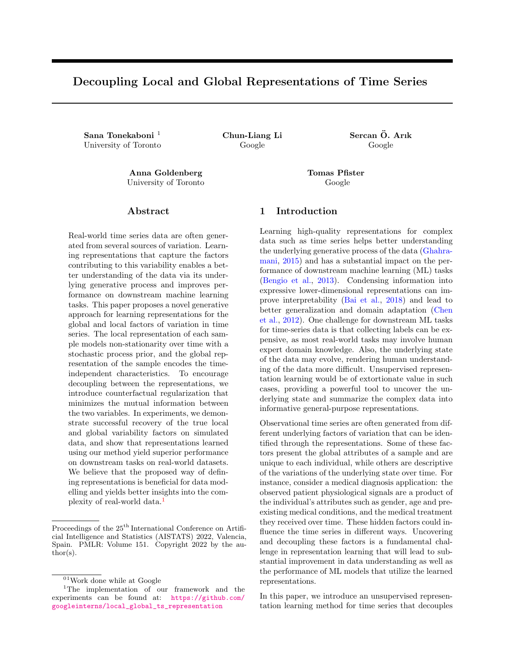Figure 5: Examples of counterfactual signal generation in simulated dataset. The top left plot shows the original time-series in orange. Each row shows generated samples with the same underlying local representations as the original signal, with variable  $z_g$ . Each column represent di erent Z<sub>1</sub> for the di erent  $z_g$  values.

data. Then, we keepz $_g$  constant for each sample and generate samples by changing the local representation in the second column. The change in local representations manifests as a change in the frequency, con rming our hypothesis. Note that some of the samples generated (Fig. 5 middle row) are the ones never seen by the model, but still, their properties are correctly inferred. This experiment shows that we can learn the true underlying factors of data and shows that our generative approach can synthesize realistic samples by changing certain underlying factors of variation.

## 5 Conclusion

This paper introduces a generative approach for learning global and local representations for time series. We demonstrate the bene ts of decoupling these representations for improving downstream performance, e ciency and a better understanding of the underlying generative factors of the data. Decoupling the underlying factors of variation in time series brings us one step closer to a better understanding of the generative process of complex temporal data. As a future direction, we would like to investigate how to associate the representation with concrete notions in the data space for improved interpretability and explore potential applications of counterfactual generation in real-world data.

# References

- Bai, J., Wang, W., and Gomes, C. P. (2021). Contrastively disentangled sequential variational autoencoder. NeurIPS, 34.
- Bai, T., Zhang, S., Egleston, B. L., and Vucetic, S. (2018). Interpretable representation learning for healthcare via capturing disease progression through time. In KDD .
- Bengio, Y., Courville, A., and Vincent, P. (2013). Representation learning: A review and new perspectives. PAMI , 35(8):1798{1828.
- Bengio, Y. and LeCun, Y. (2007). Scaling learning algorithms towards AI. In Large Scale Kernel Machines. MIT Press.
- Bouveyron, C. and Jacques, J. (2011). Model-based clustering of time series in group-speci c functional subspaces.Advances in Data Analysis and Classi cation, 5(4):281{300.
- Casale, F. P., Dalca, A. V., Saglietti, L., Listgarten, J., and Fusi, N. (2018). Gaussian process prior variational autoencoders. InNeurIPS.
- Chen, M., Xu, Z., Weinberger, K. Q., and Sha, F. (2012). Marginalized denoising autoencoders for domain adaptation. In ICML .
- Chen, X., Duan, Y., Houthooft, R., Schulman, J., Sutskever, I., and Abbeel, P. (2016). Infogan: Interpretable representation learning by information maximizing generative adversarial nets. InNIPS, pages 2180{2188.
- Cheng, P., Hao, W., Dai, S., Liu, J., Gan, Z., and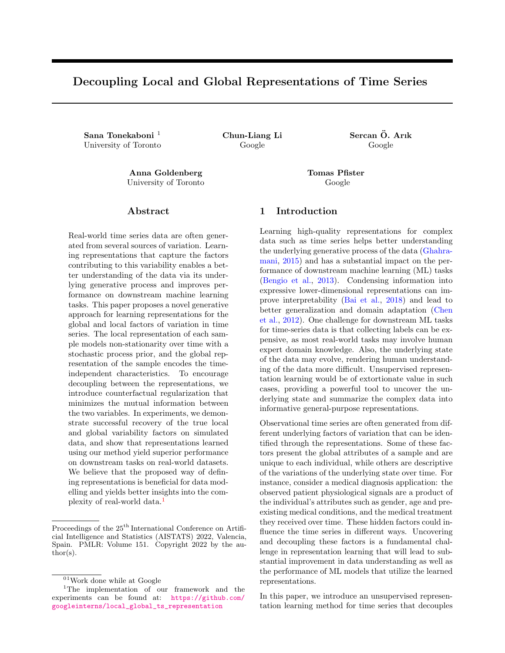Carin, L. (2020). Club: A contrastive log-ratio upper bound of mutual information. In ICML .

- Chorowski, J., Weiss, R. J., Bengio, S., and van den Oord, A. (2019). Unsupervised speech representation learning using wavenet autoencoders. IEEE Trans audio, speech, and language processing, 27(12):2041{2053.
- Dezfouli, A., Ashtiani, H., Ghattas, O., Nock, R., Dayan, P., and Ong, C. S. (2019). Disentangled behavioral representations. InNeurIPS.
- Fortuin, V., Baranchuk, D., Ratsch, G., and Mandt, S. (2020). Gp-vae: Deep probabilistic time series imputation. In AISTATS .
- Fortuin, V., Huser, M., Locatello, F., Strathmann, H., and Ratsch, G. (2018). Som-vae: Interpretable discrete representation learning on time series. In ICLR .
- Franceschi, J.-Y., Dieuleveut, A., and Jaggi, M. (2019). Unsupervised scalable representation learning for multivariate time series. NeurIPS.
- Ghahramani, Z. (2015). Probabilistic machine learning and arti cial intelligence. Nature, 521(7553):452{ 459.
- Giordano, G., Haberman, S., and Russolillo, M. (2019). Coherent modeling of mortality patterns for age-specic subgroups.Decisions in Economics and Finance, 42(1):189{204.
- Goldberger, A. L., Amaral, L. A., Glass, L., Hausdor, J. M., Ivanov, P. C., Mark, R. G., Mietus, J. E., Moody, G. B., Peng, C.-K., and Stanley, H. E. (2000). Physiobank, physiotoolkit, and physionet: components of a new research resource for complex physiologic signals.Circulation , 101(23):e215{e220.
- Hsu, W.-N., Zhang, Y., and Glass, J. (2017). Unsupervised learning of disentangled and interpretable representations from sequential data.arXiv preprint arXiv:1709.07902.
- Hyvarinen, A. and Morioka, H. (2016). Unsupervised feature extraction by time-contrastive learning and nonlinear ica. NIPS.
- Hyvarinen, A., Sasaki, H., and Turner, R. (2019). Nonlinear ica using auxiliary variables and generalized contrastive learning. In AISTATS .
- Johnson, A. E., Dunkley, N., Mayaud, L., Tsanas, A., Kramer, A. A., and Cliord, G. D. (2012). Patient speci c predictions in the intensive care unit using a bayesian ensemble. InComputing in Cardiology (CinC), 2012, pages 249{252. IEEE.
- Kim, H. and Mnih, A. (2018). Disentangling by factorising. In ICML .
- Klys, J., Snell, J., and Zemel, R. (2018). Learning latent subspaces in variational autoencoders arXiv preprint arXiv:1812.06190.
- Kumar, A., Sattigeri, P., and Balakrishnan, A. (2018). Variational inference of disentangled latent concepts from unlabeled observations. InICLR .
- Langkvist, M., Karlsson, L., and Lout, A. (2014). A review of unsupervised feature learning and deep learning for time-series modeling. Pattern Recognition Letters, 42:11{24.
- Lei, Q., Yi, J., Vaculin, R., Wu, L., and Dhillon, I. S. (2019). Similarity preserving representation learning for time series clustering. InIJCAI , volume 19, pages 2845{2851.
- Ma, Q., Zheng, J., Li, S., and Cottrell, G. W. (2019). Learning representations for time series clustering. NeurIPS.
- Ma, X., Kong, X., Zhang, S., and Hovy, E. H. (2020). Decoupling global and local representations via invertible generative 
ows. In ICLR .
- Mallik, R. K. (2001). The inverse of a tridiagonal matrix. Linear Algebra and its Applications, 325(1- 3):109{139.
- Mathieu, M. F., Zhao, J. J., Zhao, J., Ramesh, A., Sprechmann, P., and LeCun, Y. (2016). Disentangling factors of variation in deep representation using adversarial training. NIPS.
- Moyer, D., Gao, S., Brekelmans, R., Galstyan, A., and Ver Steeg, G. (2018). Invariant representations without adversarial training. NIPS, 31:9084{9093.
- Nguyen, N. and Quanz, B. (2021). Temporal latent auto-encoder: A method for probabilistic multivariate time series forecasting. In Proceedings of the AAAI Conference on Articial Intelligence , volume 35, pages 9117{9125.
- Oord, A. v. d., Li, Y., and Vinyals, O. (2018). Representation learning with contrastive predictive coding. arXiv preprint arXiv:1807.03748.
- Reed, S. E., Zhang, Y., Zhang, Y., and Lee, H. (2015). Deep visual analogy-making.NIPS.
- Roberts, S., Osborne, M., Ebden, M., Reece, S., Gibson, N., and Aigrain, S. (2013). Gaussian processes for time-series modelling. Philosophical Transactions of the Royal Society A: Mathematical, Physical and Engineering Sciences 371(1984): 20110550.
- Schulam, P. and Saria, S. (2015). A framework for individualizing predictions of disease trajectories by exploiting multi-resolution structure. NIPS.
- Sen, R., Yu, H.-F., and Dhillon, I. (2019). Think globally, act locally: A deep neural network approach to high-dimensional time series forecasting. arXiv preprint arXiv:1905.03806.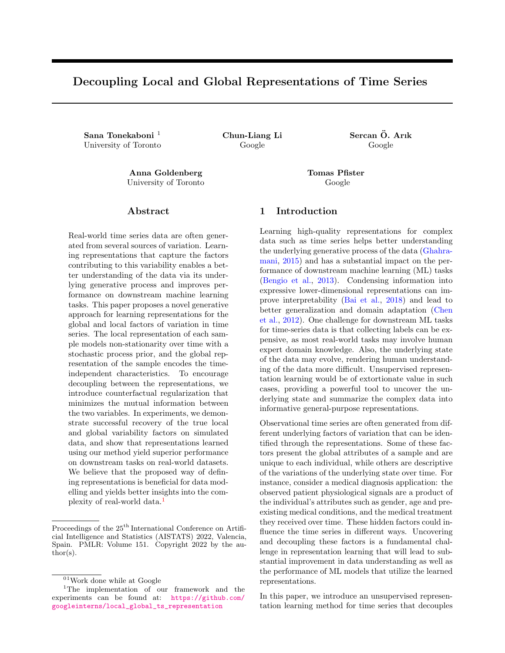- Tenenbaum, J. B. and Freeman, W. T. (2000). Separating style and content with bilinear models. Neural computation, 12(6):1247{1283.
- Tonekaboni, S., Eytan, D., and Goldenberg, A. (2020). Unsupervised representation learning for time series with temporal neighborhood coding. In ICLR .
- Wang, Y., Smola, A., Maddix, D., Gasthaus, J., Foster, D., and Januschowski, T. (2019). Deep factors for forecasting. In International conference on machine learning, pages 6607{6617. PMLR.
- Williams, C. K. and Rasmussen, C. E. (2006).Gaussian processes for machine learning volume 2. MIT press Cambridge, MA.
- Yang, J., Reed, S. E., Yang, M.-H., and Lee, H. (2015). Weakly-supervised disentangling with recurrent transformations for 3d view synthesis. In NIPS.
- Yang, Q. and Wu, X. (2006). 10 challenging problems in data mining research. International Journal of Information Technology & Decision Making, 5(04):597{604.
- Yingzhen, L. and Mandt, S. (2018). Disentangled sequential autoencoder. In International Conference on Machine Learning, pages 5670{5679. PMLR.
- Yuan, Y., Xun, G., Suo, Q., Jia, K., and Zhang, A. (2019). Wave2vec: Deep representation learning for clinical temporal data. Neurocomputing, 324:31{42.
- Zhang, S., Guo, B., Dong, A., He, J., Xu, Z., and Chen, S. X. (2017). Cautionary tales on air-quality improvement in beijing. Proceedings of the Royal Society A: Mathematical, Physical and Engineering Sciences, 473(2205):20170457.
- Zhu, Y., Min, M. R., Kadav, A., and Graf, H. P. (2020). S3vae: Self-supervised sequential vae for representation disentanglement and data generation. In Proceedings of the IEEE/CVF Conference on Computer Vision and Pattern Recognition, pages 6538{6547.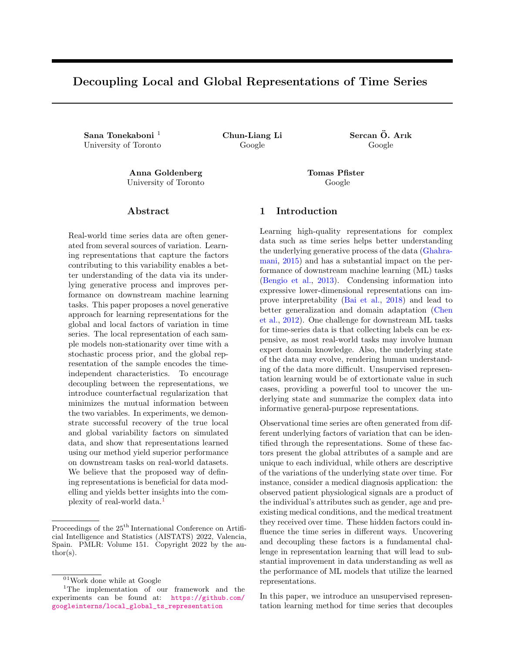# 6 SUPPLEMENTARY MATERIAL

## 6.1 Datasets

This section provides additional details about each of the datasets used in our experiments.

## 6.1.1 Physionet Dataset

This dataset was made available as part of the PhysioNet Computing in Cardiology Challenge 2012<sup>3</sup> with the objective of predicting mortality in ICU patients. The data consists of records from 12,000 ICU stays. All patients were adults who were admitted for a wide variety of reasons to cardiac, medical, surgical, and trauma ICUs. For cohort selection, out of the entire set of features that include multiple lab measurements over time and physiological signals collected at the percent missing observations over the entire dataset. The length of all samples is restricted to be between 40 to 80 measurements. Some of the time series processing steps are borrowed from Johnson et al. (2012) <sup>4</sup> (without any feature extraction for signals).

For all the experiments, we only use the time series measures for training the unsupervised representation learning frameworks, without the static information about each patient. We use the general descriptors as proxy labels for evaluating global representations throughout the experiments.

## 6.1.2 Air Quality Dataset

The Beijing multi-site Air Quality dataset <sup>5</sup> includes hourly air pollutants data from 12 nationallycontrolled air-quality monitoring sites, collected from the Beijing Municipal Environmental Monitoring Center. The meteorological data in each air-quality site are matched with the nearest weather station from the China Meteorological Administration. The time period is from March 1st, 2013, to February 28th, 2017. We create our dataset by dividing this time series into samples from di erent stations and of di erent months of the year. For our experiments, we use the pollutant measurements as our time series, the daily rain amount as a proxy for local behaviour and the station and month of each sample as the global characteristics.

|             | $Z_1 = 1$                     |                    | $Z_1 = 2$           |                  |  |
|-------------|-------------------------------|--------------------|---------------------|------------------|--|
| $z_g = 1$   |                               | $= 0:05$ a = 1:8   |                     | $= 0:05$ a = 0:8 |  |
|             |                               |                    | $c = 1.5$ b = 20    |                  |  |
|             | $c = 1:5$ $b = 40$<br>= 0:5   |                    | $= 0:8$             |                  |  |
| $z_{q} = 2$ |                               | $=$ 0:05 $a = 1:8$ |                     | $= 0.05 a = 0.8$ |  |
|             |                               |                    | $  c = +1:5$ b = 20 |                  |  |
|             | $c = +1$ :5 $b = 40$<br>= 0:5 |                    | $= 0:8$             |                  |  |

Table 4: Parameters of the simulated dataset

## 6.1.3 Simulated Dataset

bedside, we have selected the ones with less than 60 one-dimensional time series and can be decomposed as We have created the simulated dataset to assess the quality of the counterfactual generated samples, as the ground-truth generative process of the data is known to us. The dataset consists of a total of 500 samples, with 100 measurements over time. Each sample is a follows:

$$
X_{(t)} = (t + a\sin(\frac{bt}{2}) + c) +
$$
 (8)

Where N  $(0, 0.1)$  is the Gaussian noise, and the rest of the parameters are determined by the global and local representation class of the sample. There are two possible classes dened for each of the local and global representations, resulting in overall four di erent types of time series samples in the cohort. Table 4 describes the underlying generative process of each sample based on the underlying global and local variable.

## 6.2 Experiment Setup

For reproducibility purposes, the implementation code for all the experiments is made available. We have also provided additional information about each experiment in this section.

## 6.2.1 Training our model

For training our method on all the di erent datasets, we have chosen the list of hyper-parameters, reported in Table 5. The window and the representation sizes are a design choice and depend on the properties of the data The rest of the parameters are selected based on the model performance on the validation set.

## 6.2.2 Downstream task

The downstream task test evaluates the generalizability and usability of the learned representations. All baseline methods learn a representation for each window of time series. In addition to the representations over time, our method learns a single representation

<sup>3</sup> https://physionet.org/content/challenge-2012/ 1.0.0/

<sup>4</sup> https://github.com/alistairewj/challenge2012 5 https://archive.ics.uci.edu/ml/datasets/ Beijing+Multi-Site+Air-Quality+Data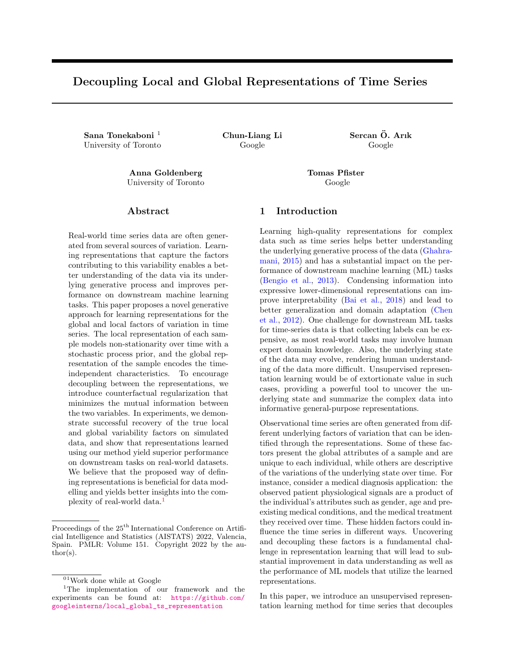| Parameter                                       | Physionet       | <b>Air Quality</b> | Simulation |
|-------------------------------------------------|-----------------|--------------------|------------|
|                                                 | 1.0             | 0.5                | 2.0        |
|                                                 | 0.1             | 0.1                | 0.1        |
| Window size ()                                  | 4               | 24                 | 10         |
| Global representation size $\theta_{q}$ )       | 8               | 8                  |            |
| Local representation size $\phi$ <sub>1</sub> ) | 8               | 8                  |            |
| Optimizer                                       | Adam            | Adam               | Adam       |
| Learning rate                                   | 0.001           | 0.001              | 0.01       |
| <b>Prior Kernels</b>                            | RBF, Cauchy     | RBF, Cauchy        | <b>RBF</b> |
| <b>Prior Kernel scales</b>                      | 2, 1, 0.5, 0.25 | 2, 1, 0.5, 0.25    |            |

Table 5: List of the selected parameters for training our method on dierent dataset

vector for the global variable. For the mortality prediction task, we use a single layer RNN, followed by a fully connected layer to estimate the risk of mortality. To integrate the global representation, our method concatenates the nal hidden state of the RNN with the global representation vector. The designated task for the Air Quality dataset is the prediction of average daily rain. Each local representation encodes a window of 24 samples, equivalent to a day of measurements. A 2-layer MLP uses the local representations concatenated with the global representation to predict this value. A big challenge with the rain prediction is that it is a highly imbalanced regression problem, where on almost 90% of the days, there is no rain, and for the rest, the amount is highly variable. To mitigate this, we use a weighted mean absolute error loss for training, and report the mean squared error as a performance metric to ensure consistency among results.

## 6.2.3 Subgroup classication

For this test, the goal is to identify similar subgroups using the global representations. For baselines where the two representations are not separated, we randomly select one of the local representations over time to use for the prediction. The global properties are expected to be encoded in the same representation vector in these baselines. Using a two layer MLP and the learned representations, we classify samples into the subgroups dened by out proxy labels (type of ICU for Physionet and month of year for the Air quality dataset).

# 6.3 Supplementary Plots

Figure 6: Risk of mortality estimation over time, based on the local and global representations (As part of the downstream task test for Physionet data).

Figure 7: Exploratory analysis of local representations in Physionet data. The bottom heatmap demonstrates the 8 dimensional local representation of windows over time (x-axis). The middle bar shows the priors over all the di erent dimensions and nally the plot on the top shows the indicator of the mechanical ventillation. In the representation patterns, we can see signals indicating whether a patient is ventilated or not. Note that the ventilation information is never provided as an input to any of the encoders.